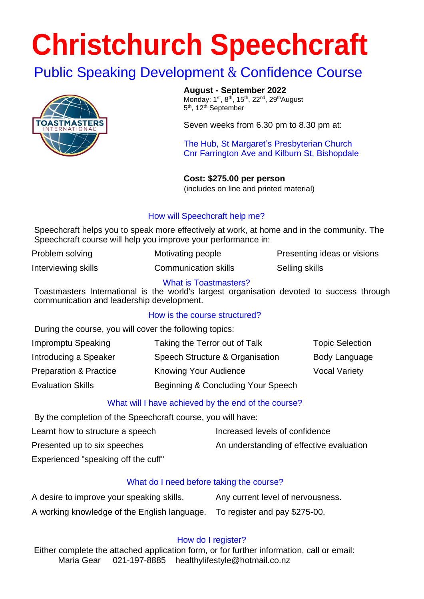# **Christchurch Speechcraft**

### Public Speaking Development & Confidence Course



**August - September 2022**

Monday: 1<sup>st</sup>, 8<sup>th</sup>, 15<sup>th</sup>, 22<sup>nd</sup>, 29<sup>th</sup>August 5<sup>th</sup>, 12<sup>th</sup> September

Seven weeks from 6.30 pm to 8.30 pm at:

The Hub, St Margaret's Presbyterian Church Cnr Farrington Ave and Kilburn St, Bishopdale

**Cost: \$275.00 per person**  (includes on line and printed material)

#### How will Speechcraft help me?

Speechcraft helps you to speak more effectively at work, at home and in the community. The Speechcraft course will help you improve your performance in:

| Problem solving     | Motivating people    | Presenting ideas or visions |
|---------------------|----------------------|-----------------------------|
| Interviewing skills | Communication skills | Selling skills              |

#### What is Toastmasters?

Toastmasters International is the world's largest organisation devoted to success through communication and leadership development.

#### How is the course structured?

During the course, you will cover the following topics:

| Impromptu Speaking                | Taking the Terror out of Talk      | <b>Topic Selection</b> |
|-----------------------------------|------------------------------------|------------------------|
| Introducing a Speaker             | Speech Structure & Organisation    | Body Language          |
| <b>Preparation &amp; Practice</b> | <b>Knowing Your Audience</b>       | <b>Vocal Variety</b>   |
| <b>Evaluation Skills</b>          | Beginning & Concluding Your Speech |                        |

#### What will I have achieved by the end of the course?

By the completion of the Speechcraft course, you will have:

Learnt how to structure a speech Increased levels of confidence Presented up to six speeches An understanding of effective evaluation

Experienced "speaking off the cuff"

#### What do I need before taking the course?

| A desire to improve your speaking skills.    | Any current level of nervousness. |
|----------------------------------------------|-----------------------------------|
| A working knowledge of the English language. | To register and pay \$275-00.     |

#### How do I register?

Either complete the attached application form, or for further information, call or email: Maria Gear 021-197-8885 healthylifestyle@hotmail.co.nz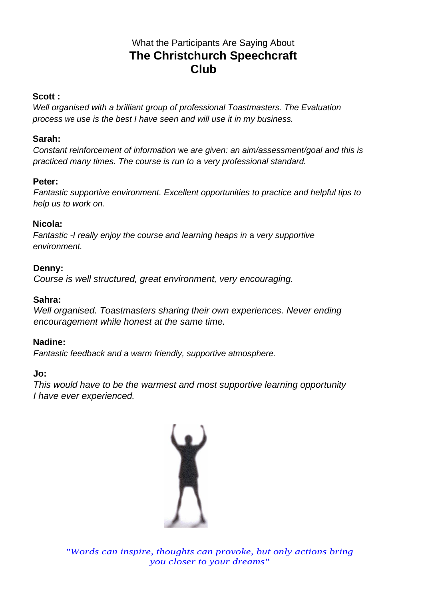#### What the Participants Are Saying About **The Christchurch Speechcraft Club**

#### **Scott :**

*Well organised with a brilliant group of professional Toastmasters. The Evaluation process we use is the best I have seen and will use it in my business.* 

#### **Sarah:**

*Constant reinforcement of information* we *are given: an aim/assessment/goal and this is practiced many times. The course is run to* a *very professional standard.* 

#### **Peter:**

*Fantastic supportive environment. Excellent opportunities to practice and helpful tips to help us to work on.* 

#### **Nicola:**

*Fantastic -I really enjoy the course and learning heaps in* a *very supportive environment.* 

#### **Denny:**

*Course is well structured, great environment, very encouraging.* 

#### **Sahra:**

*Well organised. Toastmasters sharing their own experiences. Never ending encouragement while honest at the same time.* 

#### **Nadine:**

*Fantastic feedback and* a *warm friendly, supportive atmosphere.* 

#### **Jo:**

*This would have to be the warmest and most supportive learning opportunity I have ever experienced.*



*"Words can inspire, thoughts can provoke, but only actions bring you closer to your dreams"*